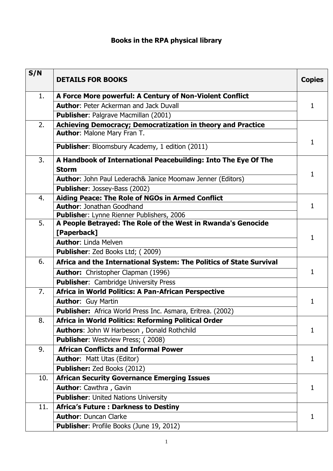## **Books in the RPA physical library**

| S/N | <b>DETAILS FOR BOOKS</b>                                                    | <b>Copies</b> |
|-----|-----------------------------------------------------------------------------|---------------|
| 1.  | A Force More powerful: A Century of Non-Violent Conflict                    |               |
|     | <b>Author: Peter Ackerman and Jack Duvall</b>                               | 1             |
|     | <b>Publisher: Palgrave Macmillan (2001)</b>                                 |               |
| 2.  | Achieving Democracy; Democratization in theory and Practice                 |               |
|     | <b>Author: Malone Mary Fran T.</b>                                          |               |
|     | <b>Publisher:</b> Bloomsbury Academy, 1 edition (2011)                      | 1             |
| 3.  | A Handbook of International Peacebuilding: Into The Eye Of The              |               |
|     | <b>Storm</b>                                                                | 1             |
|     | <b>Author:</b> John Paul Lederach& Janice Moomaw Jenner (Editors)           |               |
|     | <b>Publisher: Jossey-Bass (2002)</b>                                        |               |
| 4.  | Aiding Peace: The Role of NGOs in Armed Conflict                            |               |
|     | <b>Author: Jonathan Goodhand</b>                                            | 1             |
|     | Publisher: Lynne Rienner Publishers, 2006                                   |               |
| 5.  | A People Betrayed: The Role of the West in Rwanda's Genocide<br>[Paperback] |               |
|     | <b>Author: Linda Melven</b>                                                 | 1             |
|     | Publisher: Zed Books Ltd; (2009)                                            |               |
| 6.  | Africa and the International System: The Politics of State Survival         | 1             |
|     | <b>Author:</b> Christopher Clapman (1996)                                   |               |
|     | <b>Publisher:</b> Cambridge University Press                                |               |
| 7.  | Africa in World Politics: A Pan-African Perspective                         |               |
|     | <b>Author: Guy Martin</b>                                                   | 1             |
|     | Publisher: Africa World Press Inc. Asmara, Eritrea. (2002)                  |               |
| 8.  | Africa in World Politics: Reforming Political Order                         |               |
|     | <b>Authors: John W Harbeson, Donald Rothchild</b>                           | 1             |
|     | <b>Publisher:</b> Westview Press; (2008)                                    |               |
| 9.  | <b>African Conflicts and Informal Power</b>                                 |               |
|     | <b>Author: Matt Utas (Editor)</b>                                           | 1             |
|     | Publisher: Zed Books (2012)                                                 |               |
| 10. | <b>African Security Governance Emerging Issues</b>                          |               |
|     | <b>Author: Cawthra, Gavin</b>                                               | 1             |
|     | <b>Publisher: United Nations University</b>                                 |               |
| 11. | <b>Africa's Future: Darkness to Destiny</b>                                 |               |
|     | <b>Author: Duncan Clarke</b>                                                | 1             |
|     | Publisher: Profile Books (June 19, 2012)                                    |               |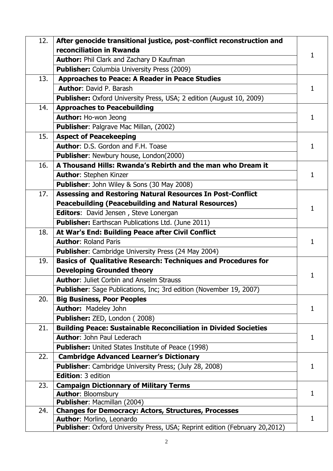| 12. | After genocide transitional justice, post-conflict reconstruction and              |              |
|-----|------------------------------------------------------------------------------------|--------------|
|     | reconciliation in Rwanda                                                           | 1            |
|     | <b>Author:</b> Phil Clark and Zachary D Kaufman                                    |              |
|     | <b>Publisher:</b> Columbia University Press (2009)                                 |              |
| 13. | <b>Approaches to Peace: A Reader in Peace Studies</b>                              |              |
|     | <b>Author: David P. Barash</b>                                                     | 1            |
|     | <b>Publisher:</b> Oxford University Press, USA; 2 edition (August 10, 2009)        |              |
| 14. | <b>Approaches to Peacebuilding</b>                                                 |              |
|     | <b>Author: Ho-won Jeong</b>                                                        | 1.           |
|     | Publisher: Palgrave Mac Millan, (2002)                                             |              |
| 15. | <b>Aspect of Peacekeeping</b>                                                      |              |
|     | <b>Author: D.S. Gordon and F.H. Toase</b>                                          | 1            |
|     | Publisher: Newbury house, London(2000)                                             |              |
| 16. | A Thousand Hills: Rwanda's Rebirth and the man who Dream it                        |              |
|     | <b>Author: Stephen Kinzer</b>                                                      | 1            |
|     | <b>Publisher: John Wiley &amp; Sons (30 May 2008)</b>                              |              |
| 17. | <b>Assessing and Restoring Natural Resources In Post-Conflict</b>                  |              |
|     | <b>Peacebuilding (Peacebuilding and Natural Resources)</b>                         | 1.           |
|     | Editors: David Jensen, Steve Lonergan                                              |              |
|     | Publisher: Earthscan Publications Ltd. (June 2011)                                 |              |
| 18. | At War's End: Building Peace after Civil Conflict                                  |              |
|     | <b>Author: Roland Paris</b>                                                        | 1.           |
|     | Publisher: Cambridge University Press (24 May 2004)                                |              |
| 19. | <b>Basics of Qualitative Research: Techniques and Procedures for</b>               |              |
|     | <b>Developing Grounded theory</b>                                                  |              |
|     | <b>Author: Juliet Corbin and Anselm Strauss</b>                                    |              |
|     | Publisher: Sage Publications, Inc; 3rd edition (November 19, 2007)                 |              |
| 20. | <b>Big Business, Poor Peoples</b>                                                  |              |
|     | <b>Author: Madeley John</b>                                                        | 1            |
|     | Publisher: ZED, London (2008)                                                      |              |
| 21. | <b>Building Peace: Sustainable Reconciliation in Divided Societies</b>             |              |
|     | <b>Author: John Paul Lederach</b>                                                  | 1            |
|     | <b>Publisher:</b> United States Institute of Peace (1998)                          |              |
| 22. | <b>Cambridge Advanced Learner's Dictionary</b>                                     |              |
|     | <b>Publisher:</b> Cambridge University Press; (July 28, 2008)                      | 1            |
|     | <b>Edition: 3 edition</b>                                                          |              |
| 23. | <b>Campaign Dictionnary of Military Terms</b>                                      |              |
|     | <b>Author: Bloomsbury</b>                                                          | $\mathbf{1}$ |
|     | <b>Publisher: Macmillan (2004)</b>                                                 |              |
| 24. | <b>Changes for Democracy: Actors, Structures, Processes</b>                        |              |
|     | Author: Morlino, Leonardo                                                          | $\mathbf{1}$ |
|     | <b>Publisher:</b> Oxford University Press, USA; Reprint edition (February 20,2012) |              |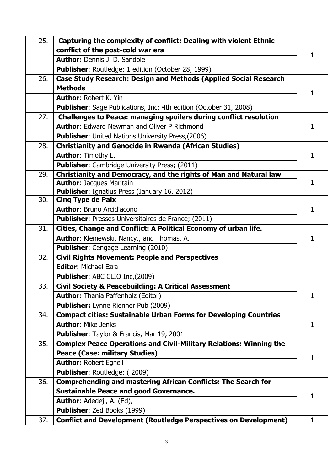| 25. | Capturing the complexity of conflict: Dealing with violent Ethnic                                                             |    |
|-----|-------------------------------------------------------------------------------------------------------------------------------|----|
|     | conflict of the post-cold war era                                                                                             | 1  |
|     | <b>Author: Dennis J. D. Sandole</b>                                                                                           |    |
|     | Publisher: Routledge; 1 edition (October 28, 1999)                                                                            |    |
| 26. | <b>Case Study Research: Design and Methods (Applied Social Research</b>                                                       |    |
|     | <b>Methods</b>                                                                                                                | 1  |
|     | <b>Author: Robert K. Yin</b>                                                                                                  |    |
|     | <b>Publisher:</b> Sage Publications, Inc; 4th edition (October 31, 2008)                                                      |    |
| 27. | Challenges to Peace: managing spoilers during conflict resolution                                                             |    |
|     | <b>Author:</b> Edward Newman and Oliver P Richmond                                                                            | 1  |
|     | <b>Publisher:</b> United Nations University Press, (2006)                                                                     |    |
| 28. | <b>Christianity and Genocide in Rwanda (African Studies)</b>                                                                  |    |
|     | <b>Author: Timothy L.</b>                                                                                                     | 1  |
|     | Publisher: Cambridge University Press; (2011)                                                                                 |    |
| 29. | Christianity and Democracy, and the rights of Man and Natural law                                                             |    |
|     | <b>Author: Jacques Maritain</b>                                                                                               | 1  |
| 30. | Publisher: Ignatius Press (January 16, 2012)<br><b>Cinq Type de Paix</b>                                                      |    |
|     | <b>Author: Bruno Arcidiacono</b>                                                                                              | 1  |
|     |                                                                                                                               |    |
| 31. | <b>Publisher:</b> Presses Universitaires de France; (2011)<br>Cities, Change and Conflict: A Political Economy of urban life. |    |
|     |                                                                                                                               |    |
|     | Author: Kleniewski, Nancy., and Thomas, A.                                                                                    |    |
| 32. | Publisher: Cengage Learning (2010)<br><b>Civil Rights Movement: People and Perspectives</b>                                   |    |
|     | <b>Editor: Michael Ezra</b>                                                                                                   |    |
|     |                                                                                                                               |    |
|     | Publisher: ABC CLIO Inc,(2009)                                                                                                |    |
| 33. | <b>Civil Society &amp; Peacebuilding: A Critical Assessment</b>                                                               |    |
|     | <b>Author:</b> Thania Paffenholz (Editor)                                                                                     | 1  |
|     | <b>Publisher:</b> Lynne Rienner Pub (2009)                                                                                    |    |
| 34. | <b>Compact cities: Sustainable Urban Forms for Developing Countries</b><br><b>Author: Mike Jenks</b>                          |    |
|     |                                                                                                                               | 1  |
|     | Publisher: Taylor & Francis, Mar 19, 2001                                                                                     |    |
| 35. | <b>Complex Peace Operations and Civil-Military Relations: Winning the</b>                                                     |    |
|     | <b>Peace (Case: military Studies)</b>                                                                                         | 1. |
|     | <b>Author: Robert Egnell</b>                                                                                                  |    |
|     | Publisher: Routledge; (2009)                                                                                                  |    |
| 36. | <b>Comprehending and mastering African Conflicts: The Search for</b>                                                          |    |
|     | <b>Sustainable Peace and good Governance.</b>                                                                                 | 1  |
|     | <b>Author:</b> Adedeji, A. (Ed),                                                                                              |    |
|     | Publisher: Zed Books (1999)                                                                                                   | 1  |
| 37. | <b>Conflict and Development (Routledge Perspectives on Development)</b>                                                       |    |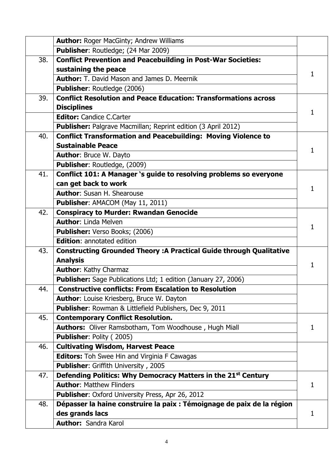|     | <b>Author: Roger MacGinty; Andrew Williams</b>                             |    |
|-----|----------------------------------------------------------------------------|----|
|     | Publisher: Routledge; (24 Mar 2009)                                        |    |
| 38. | <b>Conflict Prevention and Peacebuilding in Post-War Societies:</b>        |    |
|     | sustaining the peace                                                       | 1. |
|     | <b>Author:</b> T. David Mason and James D. Meernik                         |    |
|     | <b>Publisher: Routledge (2006)</b>                                         |    |
| 39. | <b>Conflict Resolution and Peace Education: Transformations across</b>     |    |
|     | <b>Disciplines</b>                                                         | 1  |
|     | <b>Editor:</b> Candice C.Carter                                            |    |
|     | Publisher: Palgrave Macmillan; Reprint edition (3 April 2012)              |    |
| 40. | <b>Conflict Transformation and Peacebuilding: Moving Violence to</b>       |    |
|     | <b>Sustainable Peace</b>                                                   | 1  |
|     | <b>Author: Bruce W. Dayto</b>                                              |    |
|     | Publisher: Routledge, (2009)                                               |    |
| 41. | Conflict 101: A Manager 's guide to resolving problems so everyone         |    |
|     | can get back to work                                                       |    |
|     | <b>Author: Susan H. Shearouse</b>                                          |    |
|     | Publisher: AMACOM (May 11, 2011)                                           |    |
| 42. | <b>Conspiracy to Murder: Rwandan Genocide</b>                              |    |
|     | <b>Author: Linda Melven</b>                                                | 1  |
|     | <b>Publisher:</b> Verso Books; (2006)                                      |    |
|     | <b>Edition: annotated edition</b>                                          |    |
| 43. | <b>Constructing Grounded Theory: A Practical Guide through Qualitative</b> |    |
|     | <b>Analysis</b>                                                            | 1  |
|     | <b>Author: Kathy Charmaz</b>                                               |    |
|     | <b>Publisher:</b> Sage Publications Ltd; 1 edition (January 27, 2006)      |    |
| 44. | <b>Constructive conflicts: From Escalation to Resolution</b>               |    |
|     | <b>Author:</b> Louise Kriesberg, Bruce W. Dayton                           |    |
|     | <b>Publisher:</b> Rowman & Littlefield Publishers, Dec 9, 2011             |    |
| 45. | <b>Contemporary Conflict Resolution.</b>                                   |    |
|     | Authors: Oliver Ramsbotham, Tom Woodhouse, Hugh Miall                      | 1  |
|     | <b>Publisher: Polity (2005)</b>                                            |    |
| 46. | <b>Cultivating Wisdom, Harvest Peace</b>                                   |    |
|     | <b>Editors:</b> Toh Swee Hin and Virginia F Cawagas                        |    |
|     | <b>Publisher:</b> Griffith University, 2005                                |    |
| 47. | Defending Politics: Why Democracy Matters in the 21st Century              |    |
|     | <b>Author: Matthew Flinders</b>                                            | 1  |
|     | Publisher: Oxford University Press, Apr 26, 2012                           |    |
| 48. | Dépasser la haine construire la paix : Témoignage de paix de la région     |    |
|     | des grands lacs                                                            | 1  |
|     | <b>Author: Sandra Karol</b>                                                |    |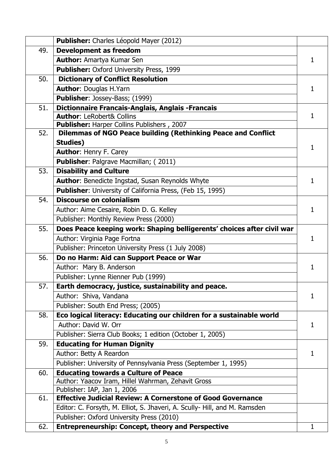|     | Publisher: Charles Léopold Mayer (2012)                                    |              |
|-----|----------------------------------------------------------------------------|--------------|
| 49. | <b>Development as freedom</b>                                              |              |
|     | <b>Author: Amartya Kumar Sen</b>                                           | 1            |
|     | Publisher: Oxford University Press, 1999                                   |              |
| 50. | <b>Dictionary of Conflict Resolution</b>                                   |              |
|     | <b>Author: Douglas H.Yarn</b>                                              | 1            |
|     | Publisher: Jossey-Bass; (1999)                                             |              |
| 51. | Dictionnaire Francais-Anglais, Anglais - Francais                          |              |
|     | <b>Author: LeRobert&amp; Collins</b>                                       | 1.           |
|     | Publisher: Harper Collins Publishers, 2007                                 |              |
| 52. | Dilemmas of NGO Peace building (Rethinking Peace and Conflict              |              |
|     | <b>Studies)</b>                                                            | 1            |
|     | <b>Author: Henry F. Carey</b>                                              |              |
|     | Publisher: Palgrave Macmillan; (2011)                                      |              |
| 53. | <b>Disability and Culture</b>                                              |              |
|     | <b>Author: Benedicte Ingstad, Susan Reynolds Whyte</b>                     | 1            |
|     | <b>Publisher:</b> University of California Press, (Feb 15, 1995)           |              |
| 54. | <b>Discourse on colonialism</b>                                            |              |
|     | Author: Aime Cesaire, Robin D. G. Kelley                                   | 1            |
|     | Publisher: Monthly Review Press (2000)                                     |              |
| 55. | Does Peace keeping work: Shaping belligerents' choices after civil war     |              |
|     | Author: Virginia Page Fortna                                               | 1            |
|     | Publisher: Princeton University Press (1 July 2008)                        |              |
| 56. | Do no Harm: Aid can Support Peace or War                                   |              |
|     | Author: Mary B. Anderson                                                   | 1            |
|     | Publisher: Lynne Rienner Pub (1999)                                        |              |
| 57. | Earth democracy, justice, sustainability and peace.                        |              |
|     | Author: Shiva, Vandana                                                     | 1            |
|     | Publisher: South End Press; (2005)                                         |              |
| 58. | Eco logical literacy: Educating our children for a sustainable world       |              |
|     | Author: David W. Orr                                                       | $\mathbf{1}$ |
|     | Publisher: Sierra Club Books; 1 edition (October 1, 2005)                  |              |
| 59. | <b>Educating for Human Dignity</b>                                         |              |
|     | Author: Betty A Reardon                                                    | 1.           |
|     | Publisher: University of Pennsylvania Press (September 1, 1995)            |              |
| 60. | <b>Educating towards a Culture of Peace</b>                                |              |
|     | Author: Yaacov Iram, Hillel Wahrman, Zehavit Gross                         |              |
|     | Publisher: IAP, Jan 1, 2006                                                |              |
| 61. | <b>Effective Judicial Review: A Cornerstone of Good Governance</b>         |              |
|     | Editor: C. Forsyth, M. Elliot, S. Jhaveri, A. Scully- Hill, and M. Ramsden |              |
|     | Publisher: Oxford University Press (2010)                                  |              |
| 62. | <b>Entrepreneurship: Concept, theory and Perspective</b>                   | 1            |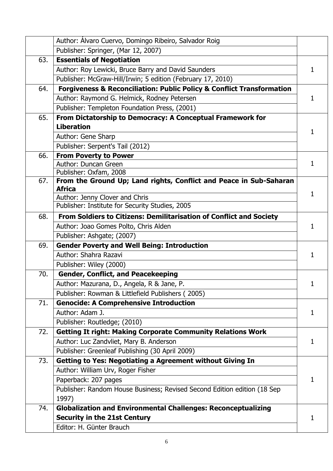|     | Author: Álvaro Cuervo, Domingo Ribeiro, Salvador Roig                                |    |
|-----|--------------------------------------------------------------------------------------|----|
|     | Publisher: Springer, (Mar 12, 2007)                                                  |    |
| 63. | <b>Essentials of Negotiation</b>                                                     |    |
|     | Author: Roy Lewicki, Bruce Barry and David Saunders                                  | 1  |
|     | Publisher: McGraw-Hill/Irwin; 5 edition (February 17, 2010)                          |    |
| 64. | <b>Forgiveness &amp; Reconciliation: Public Policy &amp; Conflict Transformation</b> |    |
|     | Author: Raymond G. Helmick, Rodney Petersen                                          | 1  |
|     | Publisher: Templeton Foundation Press, (2001)                                        |    |
| 65. | From Dictatorship to Democracy: A Conceptual Framework for                           |    |
|     | <b>Liberation</b>                                                                    | 1. |
|     | Author: Gene Sharp                                                                   |    |
|     | Publisher: Serpent's Tail (2012)                                                     |    |
| 66. | <b>From Poverty to Power</b>                                                         |    |
|     | Author: Duncan Green                                                                 | 1  |
|     | Publisher: Oxfam, 2008                                                               |    |
| 67. | From the Ground Up; Land rights, Conflict and Peace in Sub-Saharan<br><b>Africa</b>  |    |
|     | Author: Jenny Clover and Chris                                                       | 1  |
|     | Publisher: Institute for Security Studies, 2005                                      |    |
| 68. | From Soldiers to Citizens: Demilitarisation of Conflict and Society                  |    |
|     | Author: Joao Gomes Polto, Chris Alden                                                | 1  |
|     | Publisher: Ashgate; (2007)                                                           |    |
| 69. | <b>Gender Poverty and Well Being: Introduction</b>                                   |    |
|     | Author: Shahra Razavi                                                                | 1  |
|     | Publisher: Wiley (2000)                                                              |    |
| 70. | <b>Gender, Conflict, and Peacekeeping</b>                                            |    |
|     | Author: Mazurana, D., Angela, R & Jane, P.                                           | 1  |
|     | Publisher: Rowman & Littlefield Publishers (2005)                                    |    |
| 71. | <b>Genocide: A Comprehensive Introduction</b>                                        |    |
|     | Author: Adam J.                                                                      | 1  |
|     | Publisher: Routledge; (2010)                                                         |    |
| 72. | <b>Getting It right: Making Corporate Community Relations Work</b>                   |    |
|     | Author: Luc Zandvliet, Mary B. Anderson                                              | 1  |
|     | Publisher: Greenleaf Publishing (30 April 2009)                                      |    |
| 73. | <b>Getting to Yes: Negotiating a Agreement without Giving In</b>                     |    |
|     | Author: William Urv, Roger Fisher                                                    |    |
|     | Paperback: 207 pages                                                                 | 1. |
|     | Publisher: Random House Business; Revised Second Edition edition (18 Sep             |    |
|     | 1997)                                                                                |    |
| 74. | <b>Globalization and Environmental Challenges: Reconceptualizing</b>                 |    |
|     | <b>Security in the 21st Century</b>                                                  | 1  |
|     | Editor: H. Günter Brauch                                                             |    |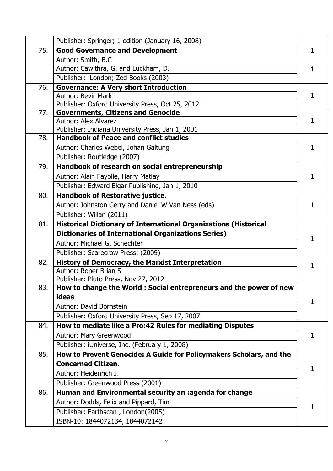| <b>Good Governance and Development</b><br>75.<br>1<br>Author: Smith, B.C.<br>Author: Cawithra, G. and Luckham, D.<br>1.<br>Publisher: London; Zed Books (2003)<br><b>Governance: A Very short Introduction</b><br>76.<br><b>Author: Bevir Mark</b><br>1. |
|----------------------------------------------------------------------------------------------------------------------------------------------------------------------------------------------------------------------------------------------------------|
|                                                                                                                                                                                                                                                          |
|                                                                                                                                                                                                                                                          |
|                                                                                                                                                                                                                                                          |
|                                                                                                                                                                                                                                                          |
|                                                                                                                                                                                                                                                          |
|                                                                                                                                                                                                                                                          |
| Publisher: Oxford University Press, Oct 25, 2012                                                                                                                                                                                                         |
| 77.<br><b>Governments, Citizens and Genocide</b><br>Author: Alex Alvarez<br>1.                                                                                                                                                                           |
| Publisher: Indiana University Press, Jan 1, 2001                                                                                                                                                                                                         |
| <b>Handbook of Peace and conflict studies</b><br>78.                                                                                                                                                                                                     |
| Author: Charles Webel, Johan Galtung<br>1                                                                                                                                                                                                                |
| Publisher: Routledge (2007)                                                                                                                                                                                                                              |
| 79.<br>Handbook of research on social entrepreneurship                                                                                                                                                                                                   |
| Author: Alain Fayolle, Harry Matlay<br>1                                                                                                                                                                                                                 |
| Publisher: Edward Elgar Publishing, Jan 1, 2010                                                                                                                                                                                                          |
| <b>Handbook of Restorative justice.</b><br>80.                                                                                                                                                                                                           |
| Author: Johnston Gerry and Daniel W Van Ness (eds)<br>1                                                                                                                                                                                                  |
| Publisher: Willan (2011)                                                                                                                                                                                                                                 |
| <b>Historical Dictionary of International Organizations (Historical</b><br>81.                                                                                                                                                                           |
| <b>Dictionaries of International Organizations Series)</b>                                                                                                                                                                                               |
| 1<br>Author: Michael G. Schechter                                                                                                                                                                                                                        |
| Publisher: Scarecrow Press; (2009)                                                                                                                                                                                                                       |
| <b>History of Democracy, the Marxist Interpretation</b><br>82.                                                                                                                                                                                           |
| 1<br>Author: Roper Brian S                                                                                                                                                                                                                               |
| Publisher: Pluto Press, Nov 27, 2012                                                                                                                                                                                                                     |
| 83.<br>How to change the World : Social entrepreneurs and the power of new                                                                                                                                                                               |
| ideas<br>1.                                                                                                                                                                                                                                              |
| Author: David Bornstein                                                                                                                                                                                                                                  |
| Publisher: Oxford University Press, Sep 17, 2007                                                                                                                                                                                                         |
| How to mediate like a Pro:42 Rules for mediating Disputes<br>84.                                                                                                                                                                                         |
| Author: Mary Greenwood<br>1.                                                                                                                                                                                                                             |
| Publisher: iUniverse, Inc. (February 1, 2008)                                                                                                                                                                                                            |
| How to Prevent Genocide: A Guide for Policymakers Scholars, and the<br>85.                                                                                                                                                                               |
| <b>Concerned Citizen.</b>                                                                                                                                                                                                                                |
| 1<br>Author: Heidenrich J.                                                                                                                                                                                                                               |
| Publisher: Greenwood Press (2001)                                                                                                                                                                                                                        |
| Human and Environmental security an :agenda for change<br>86.                                                                                                                                                                                            |
| Author: Dodds, Felix and Pippard, Tim                                                                                                                                                                                                                    |
| 1.<br>Publisher: Earthscan, London(2005)                                                                                                                                                                                                                 |
| ISBN-10: 1844072134, 1844072142                                                                                                                                                                                                                          |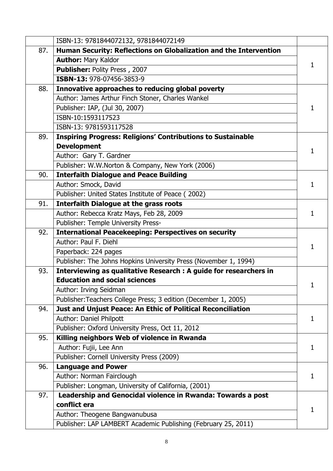|     | ISBN-13: 9781844072132, 9781844072149                                                    |              |
|-----|------------------------------------------------------------------------------------------|--------------|
| 87. | Human Security: Reflections on Globalization and the Intervention                        |              |
|     | <b>Author: Mary Kaldor</b>                                                               | 1            |
|     | Publisher: Polity Press, 2007                                                            |              |
|     | ISBN-13: 978-07456-3853-9                                                                |              |
| 88. | Innovative approaches to reducing global poverty                                         |              |
|     | Author: James Arthur Finch Stoner, Charles Wankel                                        |              |
|     | Publisher: IAP, (Jul 30, 2007)                                                           |              |
|     | ISBN-10:1593117523                                                                       |              |
|     | ISBN-13: 9781593117528                                                                   |              |
| 89. | <b>Inspiring Progress: Religions' Contributions to Sustainable</b><br><b>Development</b> |              |
|     | Author: Gary T. Gardner                                                                  | 1            |
|     | Publisher: W.W.Norton & Company, New York (2006)                                         |              |
| 90. | <b>Interfaith Dialogue and Peace Building</b>                                            |              |
|     | Author: Smock, David                                                                     | 1            |
|     | Publisher: United States Institute of Peace (2002)                                       |              |
| 91. | <b>Interfaith Dialogue at the grass roots</b>                                            |              |
|     | Author: Rebecca Kratz Mays, Feb 28, 2009                                                 | 1            |
|     | Publisher: Temple University Press-                                                      |              |
| 92. | <b>International Peacekeeping: Perspectives on security</b>                              |              |
|     | Author: Paul F. Diehl                                                                    |              |
|     | Paperback: 224 pages                                                                     | 1            |
|     | Publisher: The Johns Hopkins University Press (November 1, 1994)                         |              |
| 93. | Interviewing as qualitative Research : A guide for researchers in                        |              |
|     | <b>Education and social sciences</b>                                                     |              |
|     | Author: Irving Seidman                                                                   |              |
|     | Publisher: Teachers College Press; 3 edition (December 1, 2005)                          |              |
| 94. | Just and Unjust Peace: An Ethic of Political Reconciliation                              |              |
|     | Author: Daniel Philpott                                                                  | $\mathbf{1}$ |
|     | Publisher: Oxford University Press, Oct 11, 2012                                         |              |
| 95. | Killing neighbors Web of violence in Rwanda                                              |              |
|     | Author: Fujii, Lee Ann                                                                   | 1            |
|     | Publisher: Cornell University Press (2009)                                               |              |
| 96. | <b>Language and Power</b>                                                                |              |
|     | Author: Norman Fairclough                                                                | 1            |
|     | Publisher: Longman, University of California, (2001)                                     |              |
| 97. | Leadership and Genocidal violence in Rwanda: Towards a post                              |              |
|     | conflict era                                                                             | 1            |
|     | Author: Theogene Bangwanubusa                                                            |              |
|     | Publisher: LAP LAMBERT Academic Publishing (February 25, 2011)                           |              |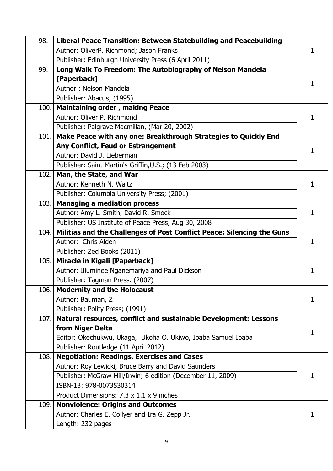| 98.   | Liberal Peace Transition: Between Statebuilding and Peacebuilding      |    |
|-------|------------------------------------------------------------------------|----|
|       | Author: OliverP. Richmond; Jason Franks                                |    |
|       | Publisher: Edinburgh University Press (6 April 2011)                   |    |
| 99.   | Long Walk To Freedom: The Autobiography of Nelson Mandela              |    |
|       | [Paperback]                                                            |    |
|       | Author: Nelson Mandela                                                 |    |
|       | Publisher: Abacus; (1995)                                              |    |
| 100.  | <b>Maintaining order, making Peace</b>                                 |    |
|       | Author: Oliver P. Richmond                                             | 1  |
|       | Publisher: Palgrave Macmillan, (Mar 20, 2002)                          |    |
| 101.1 | Make Peace with any one: Breakthrough Strategies to Quickly End        |    |
|       | Any Conflict, Feud or Estrangement                                     | 1  |
|       | Author: David J. Lieberman                                             |    |
|       | Publisher: Saint Martin's Griffin, U.S.; (13 Feb 2003)                 |    |
|       | 102. Man, the State, and War                                           |    |
|       | Author: Kenneth N. Waltz                                               | 1  |
|       | Publisher: Columbia University Press; (2001)                           |    |
| 103.1 | <b>Managing a mediation process</b>                                    |    |
|       | Author: Amy L. Smith, David R. Smock                                   | 1  |
|       | Publisher: US Institute of Peace Press, Aug 30, 2008                   |    |
| 104.  | Militias and the Challenges of Post Conflict Peace: Silencing the Guns |    |
|       | Author: Chris Alden                                                    | 1  |
|       | Publisher: Zed Books (2011)                                            |    |
| 105.  | Miracle in Kigali [Paperback]                                          |    |
|       | Author: Illuminee Nganemariya and Paul Dickson                         | 1  |
|       | Publisher: Tagman Press. (2007)                                        |    |
| 106.  | <b>Modernity and the Holocaust</b>                                     |    |
|       | Author: Bauman, Z                                                      | 1  |
|       | Publisher: Polity Press; (1991)                                        |    |
| 107.  | Natural resources, conflict and sustainable Development: Lessons       |    |
|       | from Niger Delta                                                       | 1. |
|       | Editor: Okechukwu, Ukaga, Ukoha O. Ukiwo, Ibaba Samuel Ibaba           |    |
|       | Publisher: Routledge (11 April 2012)                                   |    |
| 108.  | <b>Negotiation: Readings, Exercises and Cases</b>                      |    |
|       | Author: Roy Lewicki, Bruce Barry and David Saunders                    |    |
|       | Publisher: McGraw-Hill/Irwin; 6 edition (December 11, 2009)            | 1  |
|       | ISBN-13: 978-0073530314                                                |    |
|       | Product Dimensions: 7.3 x 1.1 x 9 inches                               |    |
| 109.  | <b>Nonviolence: Origins and Outcomes</b>                               |    |
|       | Author: Charles E. Collyer and Ira G. Zepp Jr.                         | 1  |
|       | Length: 232 pages                                                      |    |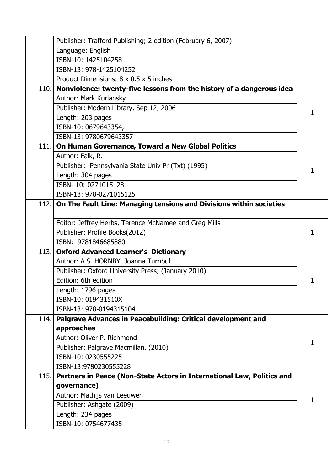|      | Publisher: Trafford Publishing; 2 edition (February 6, 2007)               |   |
|------|----------------------------------------------------------------------------|---|
|      | Language: English                                                          |   |
|      | ISBN-10: 1425104258                                                        |   |
|      | ISBN-13: 978-1425104252                                                    |   |
|      | Product Dimensions: 8 x 0.5 x 5 inches                                     |   |
|      | 110. Nonviolence: twenty-five lessons from the history of a dangerous idea |   |
|      | Author: Mark Kurlansky                                                     |   |
|      | Publisher: Modern Library, Sep 12, 2006                                    |   |
|      | Length: 203 pages                                                          |   |
|      | ISBN-10: 0679643354,                                                       |   |
|      | ISBN-13: 9780679643357                                                     |   |
| 111. | On Human Governance, Toward a New Global Politics                          |   |
|      | Author: Falk, R.                                                           |   |
|      | Publisher: Pennsylvania State Univ Pr (Txt) (1995)                         | 1 |
|      | Length: 304 pages                                                          |   |
|      | ISBN-10: 0271015128                                                        |   |
|      | ISBN-13: 978-0271015125                                                    |   |
|      | 112. On The Fault Line: Managing tensions and Divisions within societies   |   |
|      | Editor: Jeffrey Herbs, Terence McNamee and Greg Mills                      |   |
|      | Publisher: Profile Books(2012)                                             | 1 |
|      | ISBN: 9781846685880                                                        |   |
| 113. | <b>Oxford Advanced Learner's Dictionary</b>                                |   |
|      | Author: A.S. HORNBY, Joanna Turnbull                                       |   |
|      | Publisher: Oxford University Press; (January 2010)                         |   |
|      | Edition: 6th edition                                                       |   |
|      | Length: 1796 pages                                                         |   |
|      | ISBN-10: 019431510X                                                        |   |
|      | ISBN-13: 978-0194315104                                                    |   |
| 114. | Palgrave Advances in Peacebuilding: Critical development and               |   |
|      | approaches                                                                 |   |
|      | Author: Oliver P. Richmond                                                 |   |
|      | Publisher: Palgrave Macmillan, (2010)                                      |   |
|      | ISBN-10: 0230555225                                                        |   |
|      | ISBN-13:9780230555228                                                      |   |
| 115. | Partners in Peace (Non-State Actors in International Law, Politics and     |   |
|      | governance)                                                                |   |
|      | Author: Mathijs van Leeuwen                                                |   |
|      | Publisher: Ashgate (2009)                                                  |   |
|      | Length: 234 pages                                                          |   |
|      | ISBN-10: 0754677435                                                        |   |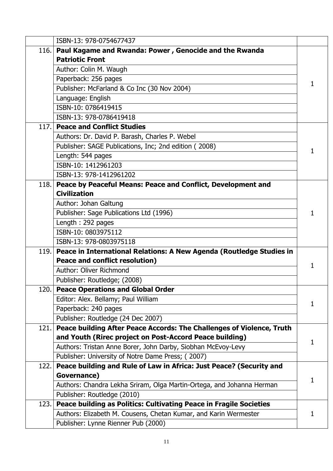|      | ISBN-13: 978-0754677437                                               |   |
|------|-----------------------------------------------------------------------|---|
| 116. | Paul Kagame and Rwanda: Power, Genocide and the Rwanda                |   |
|      | <b>Patriotic Front</b>                                                |   |
|      | Author: Colin M. Waugh                                                |   |
|      | Paperback: 256 pages                                                  | 1 |
|      | Publisher: McFarland & Co Inc (30 Nov 2004)                           |   |
|      | Language: English                                                     |   |
|      | ISBN-10: 0786419415                                                   |   |
|      | ISBN-13: 978-0786419418                                               |   |
| 117. | <b>Peace and Conflict Studies</b>                                     |   |
|      | Authors: Dr. David P. Barash, Charles P. Webel                        |   |
|      | Publisher: SAGE Publications, Inc; 2nd edition (2008)                 | 1 |
|      | Length: 544 pages                                                     |   |
|      | ISBN-10: 1412961203                                                   |   |
|      | ISBN-13: 978-1412961202                                               |   |
| 118. | Peace by Peaceful Means: Peace and Conflict, Development and          |   |
|      | <b>Civilization</b>                                                   |   |
|      | Author: Johan Galtung                                                 |   |
|      | Publisher: Sage Publications Ltd (1996)                               | 1 |
|      | Length: 292 pages                                                     |   |
|      | ISBN-10: 0803975112                                                   |   |
|      | ISBN-13: 978-0803975118                                               |   |
| 119. | Peace in International Relations: A New Agenda (Routledge Studies in  |   |
|      | <b>Peace and conflict resolution)</b>                                 | 1 |
|      | Author: Oliver Richmond                                               |   |
|      | Publisher: Routledge; (2008)                                          |   |
|      | 120. Peace Operations and Global Order                                |   |
|      | Editor: Alex. Bellamy; Paul William                                   | 1 |
|      | Paperback: 240 pages                                                  |   |
|      | Publisher: Routledge (24 Dec 2007)                                    |   |
| 121. | Peace building After Peace Accords: The Challenges of Violence, Truth |   |
|      | and Youth (Rirec project on Post-Accord Peace building)               | 1 |
|      | Authors: Tristan Anne Borer, John Darby, Siobhan McEvoy-Levy          |   |
|      | Publisher: University of Notre Dame Press; (2007)                     |   |
| 122. | Peace building and Rule of Law in Africa: Just Peace? (Security and   |   |
|      | Governance)                                                           | 1 |
|      | Authors: Chandra Lekha Sriram, Olga Martin-Ortega, and Johanna Herman |   |
|      | Publisher: Routledge (2010)                                           |   |
| 123. | Peace building as Politics: Cultivating Peace in Fragile Societies    |   |
|      | Authors: Elizabeth M. Cousens, Chetan Kumar, and Karin Wermester      | 1 |
|      | Publisher: Lynne Rienner Pub (2000)                                   |   |
|      |                                                                       |   |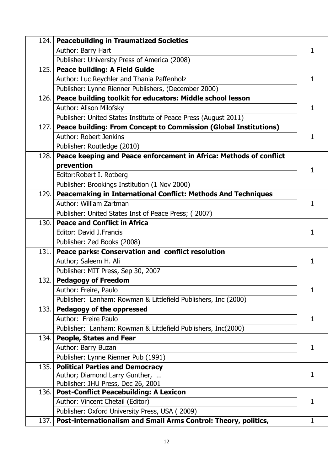|       | 124. Peacebuilding in Traumatized Societies                                        |   |
|-------|------------------------------------------------------------------------------------|---|
|       | Author: Barry Hart                                                                 | 1 |
|       | Publisher: University Press of America (2008)                                      |   |
| 125.  | <b>Peace building: A Field Guide</b>                                               |   |
|       | Author: Luc Reychler and Thania Paffenholz                                         |   |
|       | Publisher: Lynne Rienner Publishers, (December 2000)                               |   |
|       | 126. Peace building toolkit for educators: Middle school lesson                    |   |
|       | Author: Alison Milofsky                                                            | 1 |
|       | Publisher: United States Institute of Peace Press (August 2011)                    |   |
|       | 127. Peace building: From Concept to Commission (Global Institutions)              |   |
|       | Author: Robert Jenkins                                                             | 1 |
|       | Publisher: Routledge (2010)                                                        |   |
| 128.1 | Peace keeping and Peace enforcement in Africa: Methods of conflict                 |   |
|       | prevention                                                                         | 1 |
|       | Editor: Robert I. Rotberg                                                          |   |
|       | Publisher: Brookings Institution (1 Nov 2000)                                      |   |
| 129.1 | Peacemaking in International Conflict: Methods And Techniques                      |   |
|       | Author: William Zartman                                                            | 1 |
|       | Publisher: United States Inst of Peace Press; (2007)                               |   |
| 130.1 | <b>Peace and Conflict in Africa</b>                                                |   |
|       | Editor: David J.Francis                                                            | 1 |
|       | Publisher: Zed Books (2008)                                                        |   |
| 131.  | Peace parks: Conservation and conflict resolution                                  |   |
|       | Author; Saleem H. Ali                                                              | 1 |
|       | Publisher: MIT Press, Sep 30, 2007                                                 |   |
| 132.1 | <b>Pedagogy of Freedom</b>                                                         |   |
|       | Author: Freire, Paulo                                                              | 1 |
|       | Publisher: Lanham: Rowman & Littlefield Publishers, Inc (2000)                     |   |
|       | 133. Pedagogy of the oppressed                                                     |   |
|       | Author: Freire Paulo                                                               | 1 |
|       | Publisher: Lanham: Rowman & Littlefield Publishers, Inc(2000)                      |   |
| 134.1 | <b>People, States and Fear</b>                                                     |   |
|       | Author: Barry Buzan                                                                | 1 |
|       | Publisher: Lynne Rienner Pub (1991)                                                |   |
| 135.  | <b>Political Parties and Democracy</b>                                             |   |
|       | Author; Diamond Larry Gunther,                                                     | 1 |
|       | Publisher: JHU Press, Dec 26, 2001                                                 |   |
| 136.  | <b>Post-Conflict Peacebuilding: A Lexicon</b>                                      | 1 |
|       | Author: Vincent Chetail (Editor)<br>Publisher: Oxford University Press, USA (2009) |   |
| 137.1 | Post-internationalism and Small Arms Control: Theory, politics,                    | 1 |
|       |                                                                                    |   |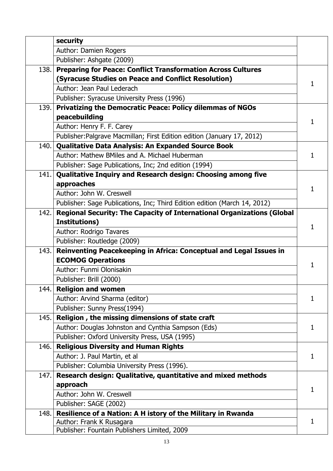|       | security                                                                  |   |
|-------|---------------------------------------------------------------------------|---|
|       | Author: Damien Rogers                                                     |   |
|       | Publisher: Ashgate (2009)                                                 |   |
| 138.  | <b>Preparing for Peace: Conflict Transformation Across Cultures</b>       |   |
|       | (Syracuse Studies on Peace and Conflict Resolution)                       | 1 |
|       | Author: Jean Paul Lederach                                                |   |
|       | Publisher: Syracuse University Press (1996)                               |   |
| 139.1 | <b>Privatizing the Democratic Peace: Policy dilemmas of NGOs</b>          |   |
|       | peacebuilding                                                             |   |
|       | Author: Henry F. F. Carey                                                 |   |
|       | Publisher: Palgrave Macmillan; First Edition edition (January 17, 2012)   |   |
| 140.  | Qualitative Data Analysis: An Expanded Source Book                        |   |
|       | Author: Mathew BMiles and A. Michael Huberman                             | 1 |
|       | Publisher: Sage Publications, Inc; 2nd edition (1994)                     |   |
| 141.  | Qualitative Inquiry and Research design: Choosing among five              |   |
|       | approaches                                                                |   |
|       | Author: John W. Creswell                                                  |   |
|       | Publisher: Sage Publications, Inc; Third Edition edition (March 14, 2012) |   |
| 142.  | Regional Security: The Capacity of International Organizations (Global    |   |
|       | <b>Institutions)</b>                                                      | 1 |
|       | Author: Rodrigo Tavares                                                   |   |
|       | Publisher: Routledge (2009)                                               |   |
| 143.  | Reinventing Peacekeeping in Africa: Conceptual and Legal Issues in        |   |
|       | <b>ECOMOG Operations</b>                                                  | 1 |
|       | Author: Funmi Olonisakin                                                  |   |
|       | Publisher: Brill (2000)                                                   |   |
| 144.  | <b>Religion and women</b>                                                 |   |
|       | Author: Arvind Sharma (editor)                                            | 1 |
|       | Publisher: Sunny Press(1994)                                              |   |
| 145.  | Religion, the missing dimensions of state craft                           |   |
|       | Author: Douglas Johnston and Cynthia Sampson (Eds)                        | 1 |
|       | Publisher: Oxford University Press, USA (1995)                            |   |
| 146.  | <b>Religious Diversity and Human Rights</b>                               |   |
|       | Author: J. Paul Martin, et al                                             | 1 |
|       | Publisher: Columbia University Press (1996).                              |   |
| 147.  | Research design: Qualitative, quantitative and mixed methods              |   |
|       | approach                                                                  | 1 |
|       | Author: John W. Creswell                                                  |   |
|       | Publisher: SAGE (2002)                                                    |   |
| 148.  | Resilience of a Nation: A H istory of the Military in Rwanda              |   |
|       | Author: Frank K Rusagara                                                  | 1 |
|       | Publisher: Fountain Publishers Limited, 2009                              |   |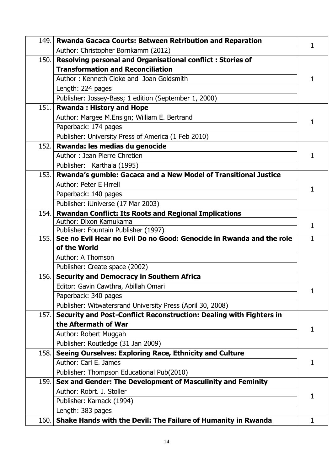| 149. | Rwanda Gacaca Courts: Between Retribution and Reparation             | 1. |
|------|----------------------------------------------------------------------|----|
|      | Author: Christopher Bornkamm (2012)                                  |    |
| 150. | Resolving personal and Organisational conflict: Stories of           |    |
|      | <b>Transformation and Reconciliation</b>                             |    |
|      | Author: Kenneth Cloke and Joan Goldsmith                             | 1  |
|      | Length: 224 pages                                                    |    |
|      | Publisher: Jossey-Bass; 1 edition (September 1, 2000)                |    |
| 151. | <b>Rwanda: History and Hope</b>                                      |    |
|      | Author: Margee M.Ensign; William E. Bertrand                         |    |
|      | Paperback: 174 pages                                                 | 1  |
|      | Publisher: University Press of America (1 Feb 2010)                  |    |
| 152. | Rwanda: les medias du genocide                                       |    |
|      | Author: Jean Pierre Chretien                                         | 1. |
|      | Publisher: Karthala (1995)                                           |    |
| 153. | Rwanda's gumble: Gacaca and a New Model of Transitional Justice      |    |
|      | Author: Peter E Hrrell                                               |    |
|      | Paperback: 140 pages                                                 | 1  |
|      | Publisher: iUniverse (17 Mar 2003)                                   |    |
| 154. | <b>Rwandan Conflict: Its Roots and Regional Implications</b>         |    |
|      | Author: Dixon Kamukama                                               | 1. |
|      | Publisher: Fountain Publisher (1997)                                 |    |
| 155. | See no Evil Hear no Evil Do no Good: Genocide in Rwanda and the role | 1  |
|      | of the World                                                         |    |
|      | Author: A Thomson                                                    |    |
|      | Publisher: Create space (2002)                                       |    |
| 156. | <b>Security and Democracy in Southern Africa</b>                     |    |
|      | Editor: Gavin Cawthra, Abillah Omari                                 | 1  |
|      | Paperback: 340 pages                                                 |    |
|      | Publisher: Witwatersrand University Press (April 30, 2008)           |    |
| 157. | Security and Post-Conflict Reconstruction: Dealing with Fighters in  |    |
|      | the Aftermath of War                                                 | 1  |
|      | Author: Robert Muggah                                                |    |
|      | Publisher: Routledge (31 Jan 2009)                                   |    |
| 158. | Seeing Ourselves: Exploring Race, Ethnicity and Culture              |    |
|      | Author: Carl E. James                                                | 1  |
|      | Publisher: Thompson Educational Pub(2010)                            |    |
| 159. | Sex and Gender: The Development of Masculinity and Feminity          |    |
|      | Author: Robrt, J. Stoller                                            | 1  |
|      | Publisher: Karnack (1994)                                            |    |
|      | Length: 383 pages                                                    |    |
| 160. | Shake Hands with the Devil: The Failure of Humanity in Rwanda        | 1  |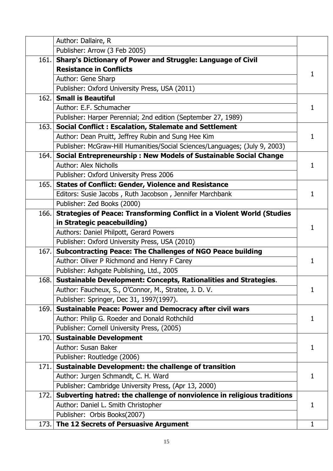|       | Author: Dallaire, R                                                           |              |
|-------|-------------------------------------------------------------------------------|--------------|
|       | Publisher: Arrow (3 Feb 2005)                                                 |              |
| 161.  | <b>Sharp's Dictionary of Power and Struggle: Language of Civil</b>            |              |
|       | <b>Resistance in Conflicts</b>                                                | 1.           |
|       | Author: Gene Sharp                                                            |              |
|       | Publisher: Oxford University Press, USA (2011)                                |              |
|       | 162. Small is Beautiful                                                       |              |
|       | Author: E.F. Schumacher                                                       | 1            |
|       | Publisher: Harper Perennial; 2nd edition (September 27, 1989)                 |              |
| 163.  | <b>Social Conflict: Escalation, Stalemate and Settlement</b>                  |              |
|       | Author: Dean Pruitt, Jeffrey Rubin and Sung Hee Kim                           | 1            |
|       | Publisher: McGraw-Hill Humanities/Social Sciences/Languages; (July 9, 2003)   |              |
|       | 164. Social Entrepreneurship: New Models of Sustainable Social Change         |              |
|       | Author: Alex Nicholls                                                         | 1            |
|       | Publisher: Oxford University Press 2006                                       |              |
|       | 165. States of Conflict: Gender, Violence and Resistance                      |              |
|       | Editors: Susie Jacobs, Ruth Jacobson, Jennifer Marchbank                      | $\mathbf{1}$ |
|       | Publisher: Zed Books (2000)                                                   |              |
| 166.  | <b>Strategies of Peace: Transforming Conflict in a Violent World (Studies</b> |              |
|       | in Strategic peacebuilding)                                                   | 1            |
|       | Authors: Daniel Philpott, Gerard Powers                                       |              |
|       | Publisher: Oxford University Press, USA (2010)                                |              |
|       | 167. Subcontracting Peace: The Challenges of NGO Peace building               |              |
|       | Author: Oliver P Richmond and Henry F Carey                                   | 1            |
|       | Publisher: Ashgate Publishing, Ltd., 2005                                     |              |
|       | 168. Sustainable Development: Concepts, Rationalities and Strategies.         |              |
|       | Author: Faucheux, S., O'Connor, M., Stratee, J. D. V.                         | 1            |
|       | Publisher: Springer, Dec 31, 1997(1997).                                      |              |
| 169.1 | <b>Sustainable Peace: Power and Democracy after civil wars</b>                |              |
|       | Author: Philip G. Roeder and Donald Rothchild                                 | 1            |
|       | Publisher: Cornell University Press, (2005)                                   |              |
| 170.  | <b>Sustainable Development</b>                                                |              |
|       | Author: Susan Baker                                                           | 1            |
|       | Publisher: Routledge (2006)                                                   |              |
| 171.1 | <b>Sustainable Development: the challenge of transition</b>                   |              |
|       | Author: Jurgen Schmandt, C. H. Ward                                           | 1            |
|       | Publisher: Cambridge University Press, (Apr 13, 2000)                         |              |
| 172.1 | Subverting hatred: the challenge of nonviolence in religious traditions       |              |
|       | Author: Daniel L. Smith Christopher                                           | 1            |
|       | Publisher: Orbis Books(2007)                                                  |              |
|       | 173. The 12 Secrets of Persuasive Argument                                    | $\mathbf{1}$ |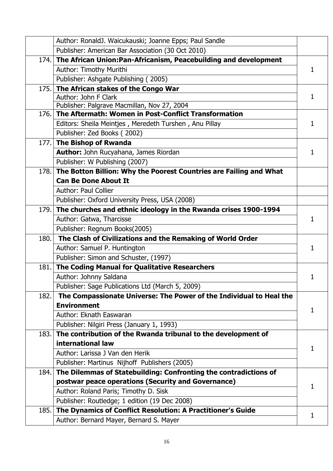|        | Author: RonaldJ. Waicukauski; Joanne Epps; Paul Sandle                  |   |
|--------|-------------------------------------------------------------------------|---|
|        | Publisher: American Bar Association (30 Oct 2010)                       |   |
|        | 174. The African Union: Pan-Africanism, Peacebuilding and development   |   |
|        | Author: Timothy Murithi                                                 | 1 |
|        | Publisher: Ashgate Publishing (2005)                                    |   |
|        | 175. The African stakes of the Congo War                                | 1 |
|        | Author: John F Clark                                                    |   |
|        | Publisher: Palgrave Macmillan, Nov 27, 2004                             |   |
| 176.1  | The Aftermath: Women in Post-Conflict Transformation                    |   |
|        | Editors: Sheila Meintjes, Meredeth Turshen, Anu Pillay                  | 1 |
|        | Publisher: Zed Books (2002)                                             |   |
|        | 177. The Bishop of Rwanda                                               |   |
|        | Author: John Rucyahana, James Riordan                                   | 1 |
|        | Publisher: W Publishing (2007)                                          |   |
|        | 178. The Botton Billion: Why the Poorest Countries are Failing and What |   |
|        | <b>Can Be Done About It</b>                                             |   |
|        | <b>Author: Paul Collier</b>                                             |   |
|        | Publisher: Oxford University Press, USA (2008)                          |   |
|        | 179. The churches and ethnic ideology in the Rwanda crises 1900-1994    |   |
|        | Author: Gatwa, Tharcisse                                                | 1 |
|        | Publisher: Regnum Books(2005)                                           |   |
| 180.   | The Clash of Civilizations and the Remaking of World Order              | 1 |
|        | Author: Samuel P. Huntington                                            |   |
|        | Publisher: Simon and Schuster, (1997)                                   |   |
| 181.   | The Coding Manual for Qualitative Researchers                           |   |
|        | Author: Johnny Saldana                                                  | 1 |
|        | Publisher: Sage Publications Ltd (March 5, 2009)                        |   |
| 182.   | The Compassionate Universe: The Power of the Individual to Heal the     |   |
|        | <b>Environment</b>                                                      | 1 |
|        | Author: Eknath Easwaran                                                 |   |
|        | Publisher: Nilgiri Press (January 1, 1993)                              |   |
| 183.   | The contribution of the Rwanda tribunal to the development of           |   |
|        | international law                                                       | 1 |
|        | Author: Larissa J Van den Herik                                         |   |
|        | Publisher: Martinus Nijhoff Publishers (2005)                           |   |
| 184. l | The Dilemmas of Statebuilding: Confronting the contradictions of        |   |
|        | postwar peace operations (Security and Governance)                      | 1 |
|        | Author: Roland Paris; Timothy D. Sisk                                   |   |
|        | Publisher: Routledge; 1 edition (19 Dec 2008)                           |   |
| 185.   | The Dynamics of Conflict Resolution: A Practitioner's Guide             | 1 |
|        |                                                                         |   |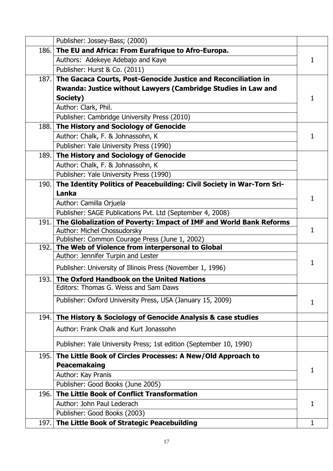|      | Publisher: Jossey-Bass; (2000)                                                         |   |
|------|----------------------------------------------------------------------------------------|---|
| 186. | The EU and Africa: From Eurafrique to Afro-Europa.                                     |   |
|      | Authors: Adekeye Adebajo and Kaye                                                      | 1 |
|      | Publisher: Hurst & Co. (2011)                                                          |   |
| 187. | The Gacaca Courts, Post-Genocide Justice and Reconciliation in                         |   |
|      | Rwanda: Justice without Lawyers (Cambridge Studies in Law and                          |   |
|      | Society)                                                                               | 1 |
|      | Author: Clark, Phil.                                                                   |   |
|      | Publisher: Cambridge University Press (2010)                                           |   |
| 188. | The History and Sociology of Genocide                                                  |   |
|      | Author: Chalk, F. & Johnassohn, K.                                                     | 1 |
|      | Publisher: Yale University Press (1990)                                                |   |
| 189. | The History and Sociology of Genocide                                                  |   |
|      | Author: Chalk, F. & Johnassohn, K                                                      |   |
|      | Publisher: Yale University Press (1990)                                                |   |
| 190. | The Identity Politics of Peacebuilding: Civil Society in War-Torn Sri-                 |   |
|      | Lanka                                                                                  | 1 |
|      | Author: Camilla Orjuela                                                                |   |
|      | Publisher: SAGE Publications Pvt. Ltd (September 4, 2008)                              |   |
| 191. | The Globalization of Poverty: Impact of IMF and World Bank Reforms                     |   |
|      | Author: Michel Chossudorsky                                                            | 1 |
| 192. | Publisher: Common Courage Press (June 1, 2002)                                         |   |
|      | The Web of Violence from interpersonal to Global<br>Author: Jennifer Turpin and Lester |   |
|      |                                                                                        | 1 |
|      | Publisher: University of Illinois Press (November 1, 1996)                             |   |
| 193. | The Oxford Handbook on the United Nations                                              |   |
|      | Editors: Thomas G. Weiss and Sam Daws                                                  |   |
|      | Publisher: Oxford University Press, USA (January 15, 2009)                             | 1 |
| 194. | The History & Sociology of Genocide Analysis & case studies                            |   |
|      | Author: Frank Chalk and Kurt Jonassohn                                                 |   |
|      | Publisher: Yale University Press; 1st edition (September 10, 1990)                     |   |
| 195. | The Little Book of Circles Processes: A New/Old Approach to                            |   |
|      | Peacemakaing                                                                           | 1 |
|      | Author: Kay Pranis                                                                     |   |
|      | Publisher: Good Books (June 2005)                                                      |   |
| 196. | The Little Book of Conflict Transformation                                             |   |
|      | Author: John Paul Lederach                                                             | 1 |
|      | Publisher: Good Books (2003)                                                           |   |
| 197. | The Little Book of Strategic Peacebuilding                                             | 1 |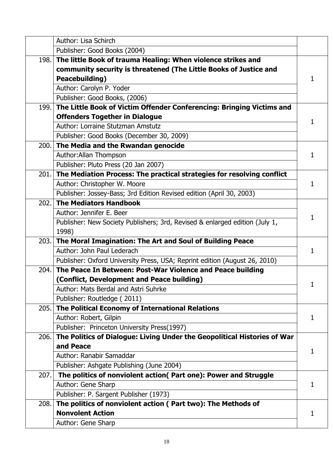|       | Author: Lisa Schirch                                                                                                              |    |
|-------|-----------------------------------------------------------------------------------------------------------------------------------|----|
|       | Publisher: Good Books (2004)                                                                                                      |    |
| 198.  | The little Book of trauma Healing: When violence strikes and<br>community security is threatened (The Little Books of Justice and | 1  |
|       | Peacebuilding)                                                                                                                    |    |
|       | Author: Carolyn P. Yoder                                                                                                          |    |
| 199.l | Publisher: Good Books, (2006)                                                                                                     |    |
|       | The Little Book of Victim Offender Conferencing: Bringing Victims and<br><b>Offenders Together in Dialogue</b>                    |    |
|       | Author: Lorraine Stutzman Amstutz                                                                                                 | 1  |
|       | Publisher: Good Books (December 30, 2009)                                                                                         |    |
|       | 200. The Media and the Rwandan genocide                                                                                           |    |
|       | Author: Allan Thompson                                                                                                            | 1  |
|       | Publisher: Pluto Press (20 Jan 2007)                                                                                              |    |
|       | 201. The Mediation Process: The practical strategies for resolving conflict                                                       |    |
|       | Author: Christopher W. Moore                                                                                                      | 1  |
|       | Publisher: Jossey-Bass; 3rd Edition Revised edition (April 30, 2003)                                                              |    |
| 202.  | <b>The Mediators Handbook</b>                                                                                                     | 1  |
|       | Author: Jennifer E. Beer                                                                                                          |    |
|       | Publisher: New Society Publishers; 3rd, Revised & enlarged edition (July 1,                                                       |    |
|       | 1998)                                                                                                                             |    |
|       | 203. The Moral Imagination: The Art and Soul of Building Peace                                                                    |    |
|       | Author: John Paul Lederach                                                                                                        | 1  |
|       | Publisher: Oxford University Press, USA; Reprint edition (August 26, 2010)                                                        |    |
| 204.  | The Peace In Between: Post-War Violence and Peace building                                                                        |    |
|       | (Conflict, Development and Peace building)                                                                                        |    |
|       | Author: Mats Berdal and Astri Suhrke                                                                                              |    |
|       | Publisher: Routledge (2011)                                                                                                       |    |
| 205.  | The Political Economy of International Relations                                                                                  |    |
|       | Author: Robert, Gilpin                                                                                                            | 1  |
|       | Publisher: Princeton University Press(1997)                                                                                       |    |
| 206.  | The Politics of Dialogue: Living Under the Geopolitical Histories of War<br>and Peace                                             |    |
|       | Author: Ranabir Samaddar                                                                                                          | 1  |
|       | Publisher: Ashgate Publishing (June 2004)                                                                                         |    |
| 207.  | The politics of nonviolent action( Part one): Power and Struggle                                                                  |    |
|       | Author: Gene Sharp                                                                                                                | 1  |
|       | Publisher: P. Sargent Publisher (1973)                                                                                            |    |
| 208.  | The politics of nonviolent action (Part two): The Methods of                                                                      |    |
|       | <b>Nonvolent Action</b>                                                                                                           | 1. |
|       | Author: Gene Sharp                                                                                                                |    |
|       |                                                                                                                                   |    |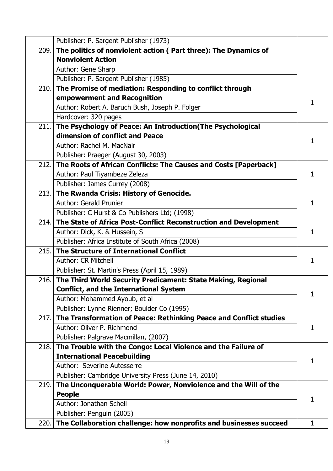|      | Publisher: P. Sargent Publisher (1973)                                  |   |
|------|-------------------------------------------------------------------------|---|
|      | 209. The politics of nonviolent action (Part three): The Dynamics of    |   |
|      | <b>Nonviolent Action</b>                                                |   |
|      | Author: Gene Sharp                                                      |   |
|      | Publisher: P. Sargent Publisher (1985)                                  |   |
|      | 210. The Promise of mediation: Responding to conflict through           |   |
|      | empowerment and Recognition                                             | 1 |
|      | Author: Robert A. Baruch Bush, Joseph P. Folger                         |   |
|      | Hardcover: 320 pages                                                    |   |
| 211. | The Psychology of Peace: An Introduction (The Psychological             |   |
|      | dimension of conflict and Peace                                         | 1 |
|      | Author: Rachel M. MacNair                                               |   |
|      | Publisher: Praeger (August 30, 2003)                                    |   |
|      | 212. The Roots of African Conflicts: The Causes and Costs [Paperback]   |   |
|      | Author: Paul Tiyambeze Zeleza                                           | 1 |
|      | Publisher: James Currey (2008)                                          |   |
|      | 213. The Rwanda Crisis: History of Genocide.                            | 1 |
|      | <b>Author: Gerald Prunier</b>                                           |   |
|      | Publisher: C Hurst & Co Publishers Ltd; (1998)                          |   |
|      | 214. The State of Africa Post-Conflict Reconstruction and Development   |   |
|      | Author: Dick, K. & Hussein, S.                                          | 1 |
|      | Publisher: Africa Institute of South Africa (2008)                      |   |
|      | 215. The Structure of International Conflict                            |   |
|      | <b>Author: CR Mitchell</b>                                              | 1 |
|      | Publisher: St. Martin's Press (April 15, 1989)                          |   |
|      | 216. The Third World Security Predicament: State Making, Regional       |   |
|      | <b>Conflict, and the International System</b>                           | 1 |
|      | Author: Mohammed Ayoub, et al                                           |   |
|      | Publisher: Lynne Rienner; Boulder Co (1995)                             |   |
|      | 217. The Transformation of Peace: Rethinking Peace and Conflict studies |   |
|      | Author: Oliver P. Richmond                                              | 1 |
|      | Publisher: Palgrave Macmillan, (2007)                                   |   |
| 218. | The Trouble with the Congo: Local Violence and the Failure of           |   |
|      | <b>International Peacebuilding</b>                                      | 1 |
|      | Author: Severine Autesserre                                             |   |
|      | Publisher: Cambridge University Press (June 14, 2010)                   |   |
| 219. | The Unconquerable World: Power, Nonviolence and the Will of the         |   |
|      | <b>People</b>                                                           | 1 |
|      | Author: Jonathan Schell                                                 |   |
|      | Publisher: Penguin (2005)                                               |   |
|      | 220. The Collaboration challenge: how nonprofits and businesses succeed | 1 |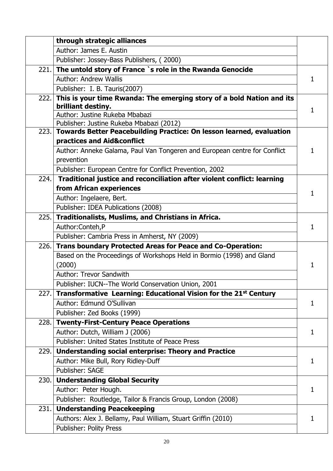|      | through strategic alliances                                                                                           |   |
|------|-----------------------------------------------------------------------------------------------------------------------|---|
|      | Author: James E. Austin                                                                                               |   |
|      | Publisher: Jossey-Bass Publishers, (2000)                                                                             |   |
| 221. | The untold story of France `s role in the Rwanda Genocide                                                             |   |
|      | <b>Author: Andrew Wallis</b>                                                                                          | 1 |
|      | Publisher: I. B. Tauris(2007)                                                                                         |   |
| 222. | This is your time Rwanda: The emerging story of a bold Nation and its                                                 |   |
|      | brilliant destiny.                                                                                                    | 1 |
|      | Author: Justine Rukeba Mbabazi                                                                                        |   |
|      | Publisher: Justine Rukeba Mbabazi (2012)<br>223. Towards Better Peacebuilding Practice: On lesson learned, evaluation |   |
|      | practices and Aid&conflict                                                                                            |   |
|      | Author: Anneke Galama, Paul Van Tongeren and European centre for Conflict                                             | 1 |
|      | prevention                                                                                                            |   |
|      | Publisher: European Centre for Conflict Prevention, 2002                                                              |   |
| 224. | Traditional justice and reconciliation after violent conflict: learning                                               |   |
|      | from African experiences                                                                                              |   |
|      | Author: Ingelaere, Bert.                                                                                              | 1 |
|      | Publisher: IDEA Publications (2008)                                                                                   |   |
| 225. | Traditionalists, Muslims, and Christians in Africa.                                                                   |   |
|      | Author: Conteh, P                                                                                                     | 1 |
|      | Publisher: Cambria Press in Amherst, NY (2009)                                                                        |   |
| 226. | <b>Trans boundary Protected Areas for Peace and Co-Operation:</b>                                                     |   |
|      | Based on the Proceedings of Workshops Held in Bormio (1998) and Gland                                                 |   |
|      | (2000)                                                                                                                | 1 |
|      | <b>Author: Trevor Sandwith</b>                                                                                        |   |
|      | Publisher: IUCN--The World Conservation Union, 2001                                                                   |   |
| 227. | Transformative Learning: Educational Vision for the 21 <sup>st</sup> Century                                          |   |
|      | Author: Edmund O'Sullivan                                                                                             | 1 |
|      | Publisher: Zed Books (1999)                                                                                           |   |
| 228. | <b>Twenty-First-Century Peace Operations</b>                                                                          |   |
|      | Author: Dutch, William J (2006)                                                                                       | 1 |
|      | Publisher: United States Institute of Peace Press                                                                     |   |
| 229. | <b>Understanding social enterprise: Theory and Practice</b>                                                           |   |
|      | Author: Mike Bull, Rory Ridley-Duff                                                                                   | 1 |
|      | Publisher: SAGE                                                                                                       |   |
|      | 230. Understanding Global Security                                                                                    |   |
|      | Author: Peter Hough.                                                                                                  | 1 |
|      | Publisher: Routledge, Tailor & Francis Group, London (2008)                                                           |   |
| 231. | <b>Understanding Peacekeeping</b>                                                                                     |   |
|      | Authors: Alex J. Bellamy, Paul William, Stuart Griffin (2010)                                                         | 1 |
|      | <b>Publisher: Polity Press</b>                                                                                        |   |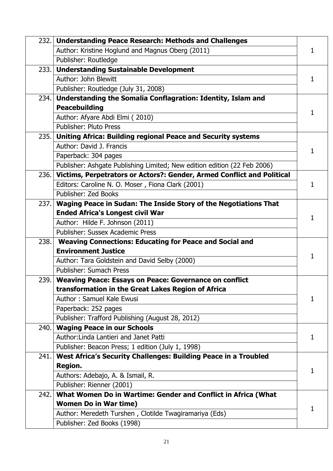|       | 232. Understanding Peace Research: Methods and Challenges                   |    |
|-------|-----------------------------------------------------------------------------|----|
|       | Author: Kristine Hoglund and Magnus Oberg (2011)                            |    |
|       | Publisher: Routledge                                                        |    |
| 233.1 | <b>Understanding Sustainable Development</b>                                |    |
|       | Author: John Blewitt                                                        | 1  |
|       | Publisher: Routledge (July 31, 2008)                                        |    |
| 234.  | Understanding the Somalia Conflagration: Identity, Islam and                |    |
|       | <b>Peacebuilding</b>                                                        | 1  |
|       | Author: Afyare Abdi Elmi (2010)                                             |    |
|       | <b>Publisher: Pluto Press</b>                                               |    |
| 235.  | <b>Uniting Africa: Building regional Peace and Security systems</b>         |    |
|       | Author: David J. Francis                                                    | 1  |
|       | Paperback: 304 pages                                                        |    |
|       | Publisher: Ashgate Publishing Limited; New edition edition (22 Feb 2006)    |    |
|       | 236. Victims, Perpetrators or Actors?: Gender, Armed Conflict and Political |    |
|       | Editors: Caroline N. O. Moser, Fiona Clark (2001)                           | 1  |
|       | Publisher: Zed Books                                                        |    |
| 237.1 | Waging Peace in Sudan: The Inside Story of the Negotiations That            |    |
|       | <b>Ended Africa's Longest civil War</b>                                     | 1  |
|       | Author: Hilde F. Johnson (2011)                                             |    |
|       | Publisher: Sussex Academic Press                                            |    |
| 238.  | <b>Weaving Connections: Educating for Peace and Social and</b>              |    |
|       | <b>Environment Justice</b>                                                  | 1  |
|       | Author: Tara Goldstein and David Selby (2000)                               |    |
|       | Publisher: Sumach Press                                                     |    |
| 239.  | <b>Weaving Peace: Essays on Peace: Governance on conflict</b>               |    |
|       | transformation in the Great Lakes Region of Africa                          |    |
|       | Author: Samuel Kale Ewusi                                                   | 1. |
|       | Paperback: 252 pages                                                        |    |
|       | Publisher: Trafford Publishing (August 28, 2012)                            |    |
| 240.  | <b>Waging Peace in our Schools</b>                                          |    |
|       | Author: Linda Lantieri and Janet Patti                                      | 1  |
|       | Publisher: Beacon Press; 1 edition (July 1, 1998)                           |    |
| 241.  | West Africa's Security Challenges: Building Peace in a Troubled             |    |
|       | <b>Region.</b>                                                              | 1  |
|       | Authors: Adebajo, A. & Ismail, R.                                           |    |
|       | Publisher: Rienner (2001)                                                   |    |
| 242.  | What Women Do in Wartime: Gender and Conflict in Africa (What               |    |
|       | <b>Women Do in War time)</b>                                                | 1. |
|       | Author: Meredeth Turshen, Clotilde Twagiramariya (Eds)                      |    |
|       | Publisher: Zed Books (1998)                                                 |    |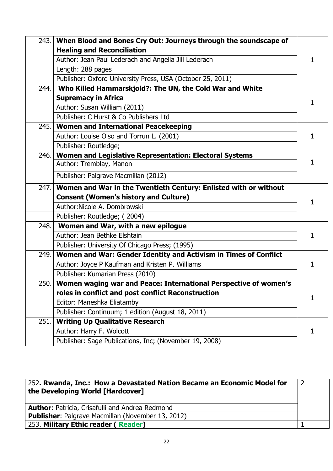| 243.  | When Blood and Bones Cry Out: Journeys through the soundscape of |   |
|-------|------------------------------------------------------------------|---|
|       | <b>Healing and Reconciliation</b>                                |   |
|       | Author: Jean Paul Lederach and Angella Jill Lederach             | 1 |
|       | Length: 288 pages                                                |   |
|       | Publisher: Oxford University Press, USA (October 25, 2011)       |   |
| 244.  | Who Killed Hammarskjold?: The UN, the Cold War and White         |   |
|       | <b>Supremacy in Africa</b>                                       | 1 |
|       | Author: Susan William (2011)                                     |   |
|       | Publisher: C Hurst & Co Publishers Ltd                           |   |
| 245.  | <b>Women and International Peacekeeping</b>                      |   |
|       | Author: Louise Olso and Torrun L. (2001)                         | 1 |
|       | Publisher: Routledge;                                            |   |
| 246.  | Women and Legislative Representation: Electoral Systems          |   |
|       | Author: Tremblay, Manon                                          | 1 |
|       | Publisher: Palgrave Macmillan (2012)                             |   |
| 247.1 | Women and War in the Twentieth Century: Enlisted with or without | 1 |
|       | <b>Consent (Women's history and Culture)</b>                     |   |
|       | Author: Nicole A. Dombrowski                                     |   |
|       | Publisher: Routledge; (2004)                                     |   |
| 248.  | Women and War, with a new epilogue                               |   |
|       | Author: Jean Bethke Elshtain                                     | 1 |
|       | Publisher: University Of Chicago Press; (1995)                   |   |
| 249.  | Women and War: Gender Identity and Activism in Times of Conflict |   |
|       | Author: Joyce P Kaufman and Kristen P. Williams                  |   |
|       | Publisher: Kumarian Press (2010)                                 |   |
| 250.  | Women waging war and Peace: International Perspective of women's |   |
|       | roles in conflict and post conflict Reconstruction               | 1 |
|       | Editor: Maneshka Eliatamby                                       |   |
|       | Publisher: Continuum; 1 edition (August 18, 2011)                |   |
| 251.  | <b>Writing Up Qualitative Research</b>                           |   |
|       | Author: Harry F. Wolcott                                         | 1 |
|       | Publisher: Sage Publications, Inc; (November 19, 2008)           |   |

| 252. Rwanda, Inc.: How a Devastated Nation Became an Economic Model for<br>the Developing World [Hardcover] |  |
|-------------------------------------------------------------------------------------------------------------|--|
| <b>Author: Patricia, Crisafulli and Andrea Redmond</b>                                                      |  |
| <b>Publisher:</b> Palgrave Macmillan (November 13, 2012)                                                    |  |
| 253. Military Ethic reader (Reader)                                                                         |  |